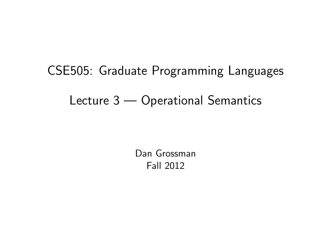# CSE505: Graduate Programming Languages Lecture 3 — Operational Semantics

<span id="page-0-0"></span>Dan Grossman Fall 2012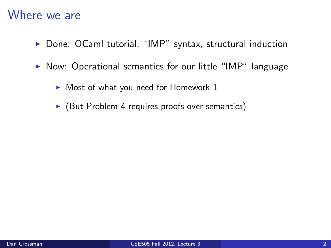#### Where we are

- $\triangleright$  Done: OCaml tutorial, "IMP" syntax, structural induction
- $\triangleright$  Now: Operational semantics for our little "IMP" language
	- $\blacktriangleright$  Most of what you need for Homework 1
	- $\triangleright$  (But Problem 4 requires proofs over semantics)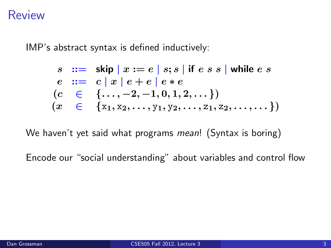#### Review

IMP's abstract syntax is defined inductively:

$$
s ::= skip | x := e | s; s | if e s s | while e s
$$
  
\n
$$
e ::= c | x | e + e | e * e
$$
  
\n
$$
(c \in \{..., -2, -1, 0, 1, 2, ...\})
$$
  
\n
$$
(x \in \{x_1, x_2, ..., y_1, y_2, ..., z_1, z_2, ..., ... \})
$$

We haven't yet said what programs mean! (Syntax is boring)

Encode our "social understanding" about variables and control flow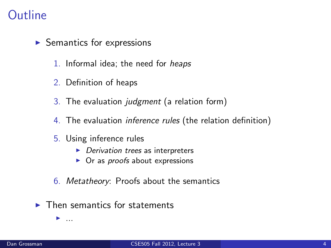# Outline

- $\blacktriangleright$  Semantics for expressions
	- 1. Informal idea; the need for heaps
	- 2. Definition of heaps
	- 3. The evaluation judgment (a relation form)
	- 4. The evaluation *inference rules* (the relation definition)
	- 5. Using inference rules
		- $\blacktriangleright$  Derivation trees as interpreters
		- $\triangleright$  Or as *proofs* about expressions
	- 6. Metatheory: Proofs about the semantics
- $\blacktriangleright$  Then semantics for statements

 $\blacktriangleright$  ...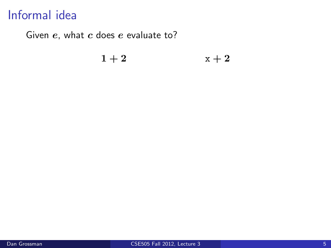# Informal idea

Given  $e$ , what  $c$  does  $e$  evaluate to?

#### $1+2$   $x+2$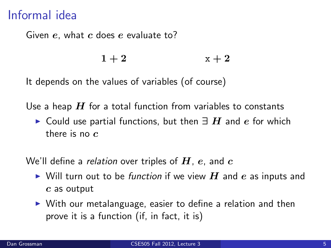# Informal idea

Given  $e$ , what  $c$  does  $e$  evaluate to?

 $1+2$   $x+2$ 

It depends on the values of variables (of course)

Use a heap  $H$  for a total function from variables to constants

► Could use partial functions, but then  $\exists H$  and e for which there is no  $c$ 

We'll define a relation over triples of  $H$ , e, and  $c$ 

- $\triangleright$  Will turn out to be function if we view  $H$  and e as inputs and c as output
- $\triangleright$  With our metalanguage, easier to define a relation and then prove it is a function (if, in fact, it is)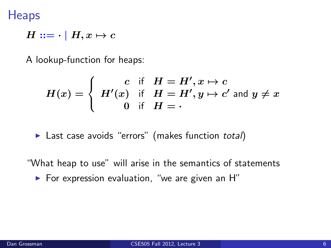**Heaps** 

$$
H ::= \cdot | H, x \mapsto c
$$

A lookup-function for heaps:

$$
H(x) = \left\{ \begin{array}{ll} c & \text{if} & H = H', x \mapsto c \\ H'(x) & \text{if} & H = H', y \mapsto c' \text{ and } y \neq x \\ 0 & \text{if} & H = \cdot \end{array} \right.
$$

 $\blacktriangleright$  Last case avoids "errors" (makes function total)

"What heap to use" will arise in the semantics of statements

 $\blacktriangleright$  For expression evaluation, "we are given an H"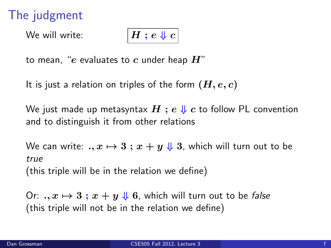# The judgment

We will write:

$$
\overline{H:e\Downarrow c}
$$

to mean, "e evaluates to c under heap  $H$ "

It is just a relation on triples of the form  $(H, e, c)$ 

We just made up metasyntax  $H$ ;  $e \Downarrow c$  to follow PL convention and to distinguish it from other relations

We can write: .,  $x \mapsto 3$ ;  $x + y \Downarrow 3$ , which will turn out to be true (this triple will be in the relation we define)

Or:  $x \mapsto 3$ ;  $x + y \Downarrow 6$ , which will turn out to be false (this triple will not be in the relation we define)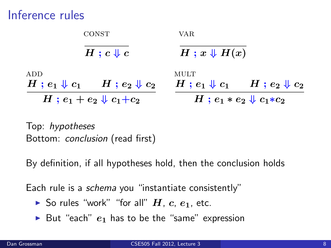# Inference rules



Top: hypotheses Bottom: conclusion (read first)

By definition, if all hypotheses hold, then the conclusion holds

Each rule is a *schema* you "instantiate consistently"

- So rules "work" "for all"  $H$ ,  $c$ ,  $e_1$ , etc.
- $\triangleright$  But "each"  $e_1$  has to be the "same" expression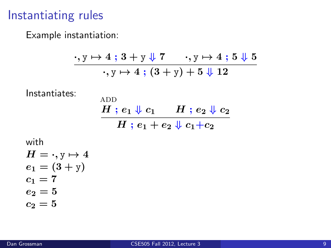# Instantiating rules

Example instantiation:

$$
\frac{\cdot, y \mapsto 4\; ;\, 3 + y \Downarrow 7 \quad \cdot, y \mapsto 4\; ;\, 5 \Downarrow 5}{\cdot, y \mapsto 4\; ;\, (3 + y) + 5 \Downarrow 12}
$$

Instantiates:

**ADD**  $H$ ;  $e_1 \Downarrow c_1$   $H$ ;  $e_2 \Downarrow c_2$  $H$ ;  $e_1 + e_2 \sqrt{c_1+c_2}$ 

with

$$
H = \cdot, y \mapsto 4 \n e_1 = (3 + y) \n c_1 = 7 \n e_2 = 5 \n c_2 = 5
$$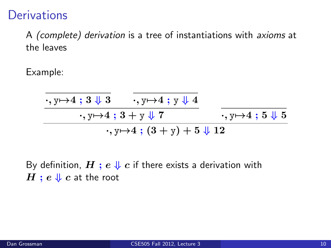# **Derivations**

A (complete) derivation is a tree of instantiations with axioms at the leaves

Example:

$$
\frac{1}{\cdot, y \mapsto 4 \; ; \; 3 \; \sqrt[1]{3}} \; \frac{}{\cdot, y \mapsto 4 \; ; \; y \; \sqrt[1]{4}} \; \cdots, y \mapsto 4 \; ; \; 3 + y \; \sqrt[1]{7}} \; \cdots, y \mapsto 4 \; ; \; (3 + y) + 5 \; \sqrt[1]{12}} \; \cdots
$$

By definition,  $H$ ;  $e \Downarrow c$  if there exists a derivation with  $H$ ;  $e \Downarrow c$  at the root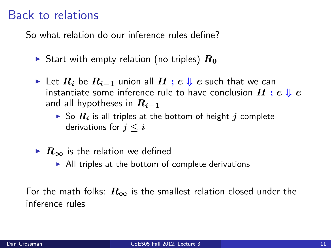# Back to relations

So what relation do our inference rules define?

- Start with empty relation (no triples)  $R_0$
- ► Let  $R_i$  be  $R_{i-1}$  union all  $H$ ;  $e \Downarrow c$  such that we can instantiate some inference rule to have conclusion  $H$ ;  $e \Downarrow c$ and all hypotheses in  $R_{i-1}$ 
	- $\triangleright$  So  $R_i$  is all triples at the bottom of height-j complete derivations for  $j \leq i$
- $\triangleright$   $R_{\infty}$  is the relation we defined
	- $\triangleright$  All triples at the bottom of complete derivations

For the math folks:  $R_{\infty}$  is the smallest relation closed under the inference rules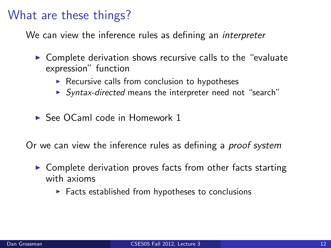# What are these things?

We can view the inference rules as defining an *interpreter* 

- $\triangleright$  Complete derivation shows recursive calls to the "evaluate" expression" function
	- $\triangleright$  Recursive calls from conclusion to hypotheses
	- ▶ Syntax-directed means the interpreter need not "search"
- $\triangleright$  See OCaml code in Homework 1

Or we can view the inference rules as defining a *proof system* 

- $\triangleright$  Complete derivation proves facts from other facts starting with axioms
	- $\triangleright$  Facts established from hypotheses to conclusions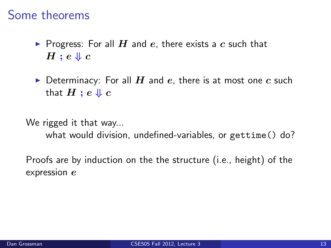# Some theorems

- **Progress:** For all H and e, there exists a c such that  $H$ ;  $e \Downarrow c$
- $\triangleright$  Determinacy: For all H and e, there is at most one c such that  $H$  ;  $e \Downarrow c$

We rigged it that way... what would division, undefined-variables, or gettime() do?

Proofs are by induction on the the structure (i.e., height) of the expression  $e$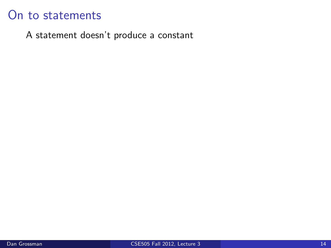A statement doesn't produce a constant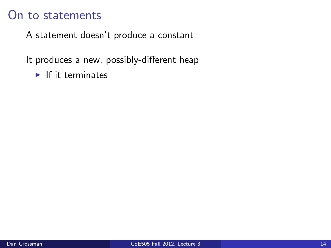A statement doesn't produce a constant

It produces a new, possibly-different heap

 $\blacktriangleright$  If it terminates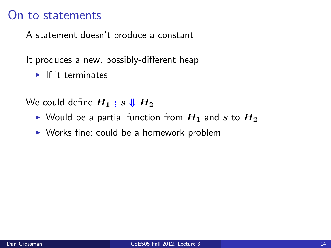A statement doesn't produce a constant

It produces a new, possibly-different heap

 $\blacktriangleright$  If it terminates

We could define  $H_1$ ;  $s \Downarrow H_2$ 

- $\triangleright$  Would be a partial function from  $H_1$  and s to  $H_2$
- $\triangleright$  Works fine; could be a homework problem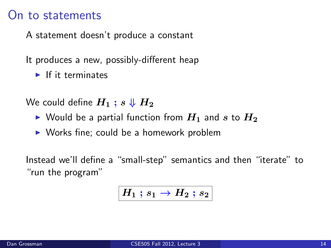A statement doesn't produce a constant

It produces a new, possibly-different heap

 $\blacktriangleright$  If it terminates

We could define  $H_1$ ;  $s \Downarrow H_2$ 

- $\triangleright$  Would be a partial function from  $H_1$  and s to  $H_2$
- $\triangleright$  Works fine; could be a homework problem

Instead we'll define a "small-step" semantics and then "iterate" to "run the program"

$$
H_1\:;s_1\to H_2\,;s_2
$$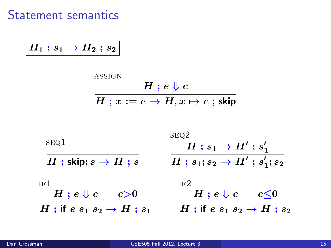Statement semantics

 $\big\lvert\, H_1 \mathrel{;} s_1 \rightarrow H_2 \mathrel{;} s_2 \big\rvert$ 

$$
\cfrac{A{\text{SSIGN}}}{H\text{ ; }x:=e\to H,x\mapsto c\text{ ; skip}}
$$

| SEQ1                                    | SEQ2<br>$H$ ; $s_1 \to H'$ ; $s'_1$         |
|-----------------------------------------|---------------------------------------------|
| $H$ ; skip; $s \rightarrow H$ ; s       | $H$ ; $s_1$ ; $s_2 \to H'$ ; $s'_1$ ; $s_2$ |
| IF <sub>1</sub>                         | IF <sub>2</sub>                             |
| $H$ ; $e \Downarrow c$<br>c > 0         | $H$ ; $e \Downarrow c$<br>c<0               |
| H; if $e s_1 s_2 \rightarrow H$ ; $s_1$ | H ; if $e s_1 s_2 \rightarrow H$ ; $s_2$    |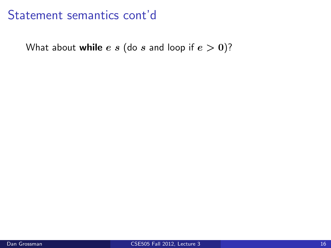# Statement semantics cont'd

What about while  $e s$  (do  $s$  and loop if  $e > 0$ )?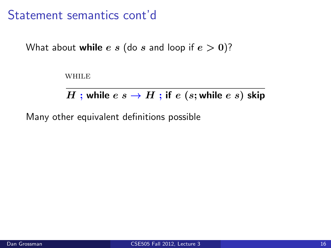# Statement semantics cont'd

What about **while** e s (do s and loop if  $e > 0$ )?

**WHILE** 

H ; while  $e \ s \rightarrow H$  ; if  $e \ (s;$  while  $e \ s)$  skip

Many other equivalent definitions possible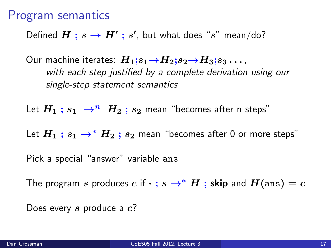#### Program semantics

Defined  $H$  ;  $s \to H'$  ;  $s'$ , but what does " $s$ " mean/do?

Our machine iterates:  $H_1$ ; $s_1 \rightarrow H_2$ ; $s_2 \rightarrow H_3$ ; $s_3 \dots$ , with each step justified by a complete derivation using our single-step statement semantics

Let  $H_1$ ;  $s_1 \rightarrow^n H_2$ ;  $s_2$  mean "becomes after n steps"

Let  $H_1$ ;  $s_1 \rightarrow^* H_2$ ;  $s_2$  mean "becomes after 0 or more steps"

Pick a special "answer" variable ans

The program s produces c if  $\cdot$ ;  $s \to^* H$ ; skip and  $H(\text{ans}) = c$ 

Does every s produce a  $c$ ?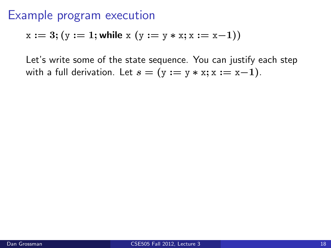$$
x := 3
$$
;  $(y := 1$ ; while  $x (y := y * x; x := x-1))$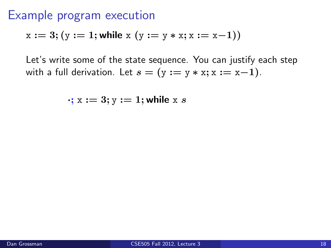$$
x := 3
$$
;  $(y := 1$ ; while  $x (y := y * x; x := x-1))$ 

$$
\cdot; x := 3; y := 1; \text{while } x \ s
$$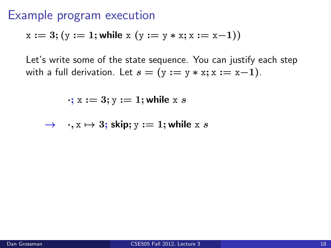$$
x := 3
$$
;  $(y := 1$ ; while  $x (y := y * x; x := x-1))$ 

$$
\cdot; x := 3; y := 1; \text{while } x \ s
$$

$$
\rightarrow \quad \cdot, x \mapsto 3; \text{ skip}; y := 1; \text{while } x \text{ s}
$$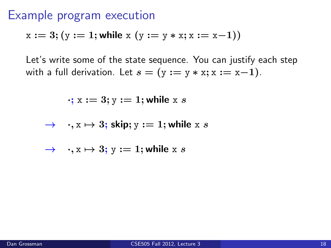$$
x := 3
$$
;  $(y := 1$ ; while  $x (y := y * x; x := x-1))$ 

$$
\cdot; x := 3; y := 1; \text{while } x \ s
$$

$$
\rightarrow \quad \cdot, x \mapsto 3; \text{ skip}; y := 1; \text{while } x \text{ s}
$$

$$
\rightarrow \quad \cdot, x \mapsto 3; \, y := 1; \text{while } x \, s
$$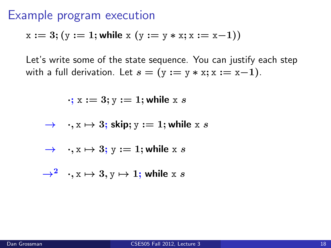$$
x := 3
$$
;  $(y := 1$ ; while  $x (y := y * x; x := x-1))$ 

$$
\cdot; x := 3; y := 1; \text{while } x \ s
$$

$$
\rightarrow \quad \cdot, x \mapsto 3; \text{ skip}; y := 1; \text{while } x \ s
$$

$$
\rightarrow \quad \cdot, x \mapsto 3; \, y := 1; \text{while } x \, s
$$

$$
\rightarrow^2 \quad , x \mapsto 3, y \mapsto 1; \text{ while } x \ s
$$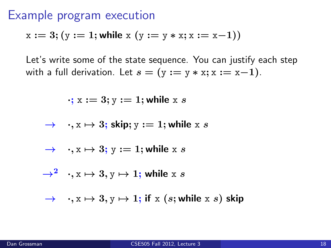$$
x := 3
$$
;  $(y := 1$ ; while  $x (y := y * x; x := x-1))$ 

$$
\cdot; x := 3; y := 1; \text{while } x \ s
$$

$$
\rightarrow \quad \cdot, x \mapsto 3; \text{ skip}; y := 1; \text{while } x \ s
$$

$$
\rightarrow \quad \cdot, x \mapsto 3; \, y := 1; \text{while } x \, s
$$

$$
\rightarrow^2 \quad , x \mapsto 3, y \mapsto 1; \text{ while } x \ s
$$

$$
\rightarrow \quad \cdot, x \mapsto 3, y \mapsto 1; \text{ if } x (s; \text{while } x s) \text{ skip}
$$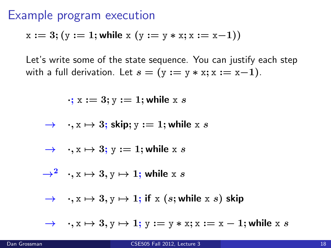$$
x := 3; (y := 1; \text{while } x (y := y * x; x := x - 1))
$$

Let's write some of the state sequence. You can justify each step with a full derivation. Let  $s = (y := y * x; x := x-1)$ .

$$
\cdot; x := 3; y := 1; \text{while } x \ s
$$

$$
\rightarrow \quad \cdot, x \mapsto 3; \text{ skip}; y := 1; \text{while } x \ s
$$

$$
\rightarrow \quad \cdot, x \mapsto 3; \, y := 1; \text{while } x \, s
$$

$$
\rightarrow^2 \quad , x \mapsto 3, y \mapsto 1; \text{ while } x \ s
$$

$$
\rightarrow \quad \cdot, x \mapsto 3, y \mapsto 1; \text{ if } x \text{ ( } s \text{; while } x \text{ } s \text{) } \text{ skip}
$$

 $\rightarrow \quad x \mapsto 3, y \mapsto 1; y := y * x; x := x - 1;$  while x s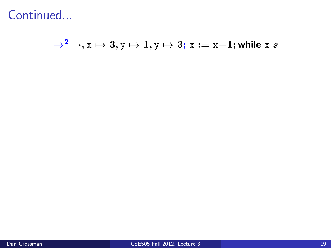$\rightarrow^2 \quad \cdot,$   $\mathrm{x} \mapsto 3, \mathrm{y} \mapsto 1, \mathrm{y} \mapsto 3;$   $\mathrm{x} := \mathrm{x-1};$  while  $\mathrm{x} \ s$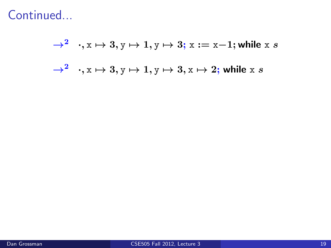$\rightarrow^2 \quad \cdot,$   $\mathrm{x} \mapsto 3, \mathrm{y} \mapsto 1, \mathrm{y} \mapsto 3;$   $\mathrm{x} := \mathrm{x-1};$  while  $\mathrm{x} \ s$  $\rightarrow^2 \quad \cdot, {\rm x} \mapsto 3, {\rm y} \mapsto 1, {\rm y} \mapsto 3, {\rm x} \mapsto 2;$  while  ${\rm x} \; s$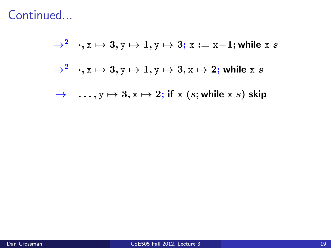$\rightarrow^2 \quad \cdot,$   $\mathrm{x} \mapsto 3, \mathrm{y} \mapsto 1, \mathrm{y} \mapsto 3;$   $\mathrm{x} := \mathrm{x-1};$  while  $\mathrm{x} \ s$  $\rightarrow^2 \quad \cdot, {\rm x} \mapsto 3, {\rm y} \mapsto 1, {\rm y} \mapsto 3, {\rm x} \mapsto 2;$  while  ${\rm x} \; s$  $\rightarrow$  ...,  $y \mapsto 3$ ,  $x \mapsto 2$ ; if x (s; while x s) skip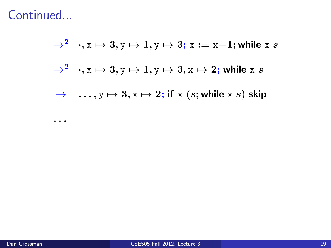. . .

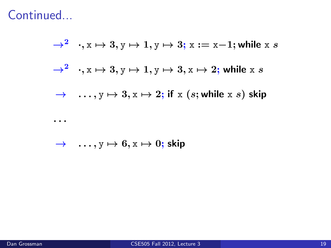

 $\rightarrow$  ...,  $y \mapsto 6$ ,  $x \mapsto 0$ ; skip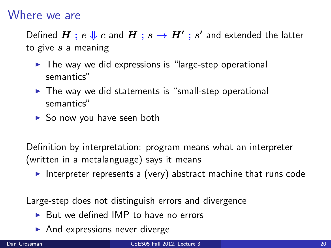#### Where we are

Defined  $H$  ;  $e \Downarrow c$  and  $H$  ;  $s \to H'$  ;  $s'$  and extended the latter to give  $s$  a meaning

- $\triangleright$  The way we did expressions is "large-step operational semantics"
- $\triangleright$  The way we did statements is "small-step operational semantics"
- $\triangleright$  So now you have seen both

Definition by interpretation: program means what an interpreter (written in a metalanguage) says it means

Interpreter represents a (very) abstract machine that runs code

Large-step does not distinguish errors and divergence

- $\triangleright$  But we defined IMP to have no errors
- $\blacktriangleright$  And expressions never diverge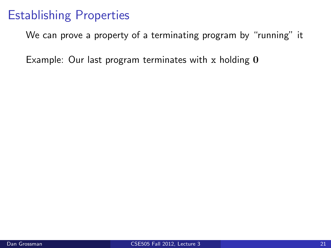# Establishing Properties

We can prove a property of a terminating program by "running" it

Example: Our last program terminates with  $x$  holding  $0$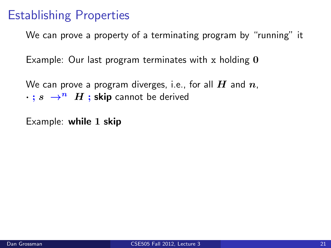# Establishing Properties

We can prove a property of a terminating program by "running" it

Example: Our last program terminates with x holding  $\theta$ 

We can prove a program diverges, i.e., for all  $H$  and  $n$ ,  $\cdot$  ;  $s \rightarrow^n H$  ; skip cannot be derived

Example: while 1 skip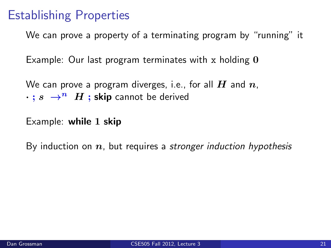# Establishing Properties

We can prove a property of a terminating program by "running" it

Example: Our last program terminates with x holding  $\theta$ 

We can prove a program diverges, i.e., for all  $H$  and  $n$ .  $\cdot$  ;  $s \rightarrow^n H$  ; skip cannot be derived

Example: while 1 skip

By induction on  $n$ , but requires a stronger induction hypothesis